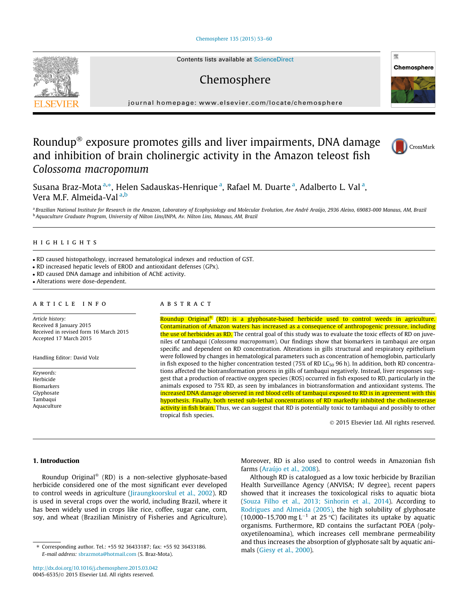## Chemosphere 135 (2015) 53–60



Contents lists available at ScienceDirect

# Chemosphere



journal homepage: www.elsevier.com/locate/chemosphere

## Roundup® exposure promotes gills and liver impairments, DNA damage and inhibition of brain cholinergic activity in the Amazon teleost fish Colossoma macropomum



Susana Braz-Mota <sup>a,\*</sup>, Helen Sadauskas-Henrique <sup>a</sup>, Rafael M. Duarte <sup>a</sup>, Adalberto L. Val <sup>a</sup>, Vera M.F. Almeida-Val a,b

a Brazilian National Institute for Research in the Amazon, Laboratory of Ecophysiology and Molecular Evolution, Ave André Araújo, 2936 Aleixo, 69083-000 Manaus, AM, Brazil <sup>b</sup> Aquaculture Graduate Program, University of Nilton Lins/INPA, Av. Nilton Lins, Manaus, AM, Brazil

## highlights

- RD caused histopathology, increased hematological indexes and reduction of GST.

- RD increased hepatic levels of EROD and antioxidant defenses (GPx).

- RD caused DNA damage and inhibition of AChE activity.

- Alterations were dose-dependent.

## article info

Article history: Received 8 January 2015 Received in revised form 16 March 2015 Accepted 17 March 2015

Handling Editor: David Volz

Keywords: Herbicide Biomarkers Glyphosate Tambaqui Aquaculture

## **ABSTRACT**

Roundup Original<sup>®</sup> (RD) is a glyphosate-based herbicide used to control weeds in agriculture. Contamination of Amazon waters has increased as a consequence of anthropogenic pressure, including the use of herbicides as RD. The central goal of this study was to evaluate the toxic effects of RD on juveniles of tambaqui (Colossoma macropomum). Our findings show that biomarkers in tambaqui are organ specific and dependent on RD concentration. Alterations in gills structural and respiratory epithelium were followed by changes in hematological parameters such as concentration of hemoglobin, particularly in fish exposed to the higher concentration tested (75% of RD LC<sub>50</sub> 96 h). In addition, both RD concentrations affected the biotransformation process in gills of tambaqui negatively. Instead, liver responses suggest that a production of reactive oxygen species (ROS) occurred in fish exposed to RD, particularly in the animals exposed to 75% RD, as seen by imbalances in biotransformation and antioxidant systems. The increased DNA damage observed in red blood cells of tambaqui exposed to RD is in agreement with this hypothesis. Finally, both tested sub-lethal concentrations of RD markedly inhibited the cholinesterase activity in fish brain. Thus, we can suggest that RD is potentially toxic to tambaqui and possibly to other tropical fish species.

2015 Elsevier Ltd. All rights reserved.

## 1. Introduction

Roundup Original<sup>®</sup> (RD) is a non-selective glyphosate-based herbicide considered one of the most significant ever developed to control weeds in agriculture (Jiraungkoorskul et al., 2002). RD is used in several crops over the world, including Brazil, where it has been widely used in crops like rice, coffee, sugar cane, corn, soy, and wheat (Brazilian Ministry of Fisheries and Agriculture). Moreover, RD is also used to control weeds in Amazonian fish farms (Araújo et al., 2008).

Although RD is catalogued as a low toxic herbicide by Brazilian Health Surveillance Agency (ANVISA; IV degree), recent papers showed that it increases the toxicological risks to aquatic biota (Souza Filho et al., 2013; Sinhorin et al., 2014). According to Rodrigues and Almeida (2005), the high solubility of glyphosate (10,000–15,700 mg L<sup>-1</sup> at 25 °C) facilitates its uptake by aquatic organisms. Furthermore, RD contains the surfactant POEA (polyoxyetilenoamina), which increases cell membrane permeability and thus increases the absorption of glyphosate salt by aquatic animals (Giesy et al., 2000).

<sup>⇑</sup> Corresponding author. Tel.: +55 92 36433187; fax: +55 92 36433186. E-mail address: sbrazmota@hotmail.com (S. Braz-Mota).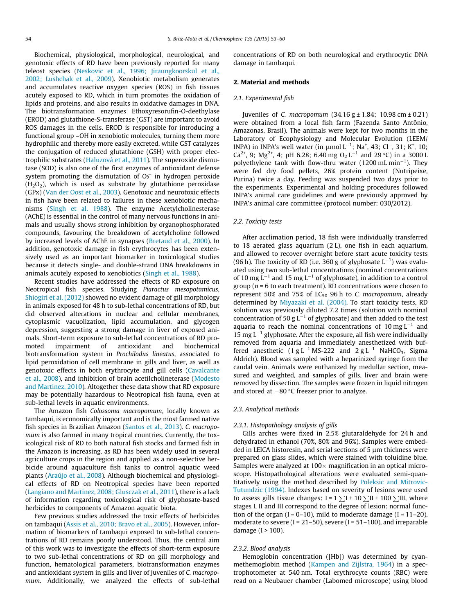Biochemical, physiological, morphological, neurological, and genotoxic effects of RD have been previously reported for many teleost species (Neskovic et al., 1996; Jiraungkoorskul et al., 2002; Lushchak et al., 2009). Xenobiotic metabolism generates and accumulates reactive oxygen species (ROS) in fish tissues acutely exposed to RD, which in turn promotes the oxidation of lipids and proteins, and also results in oxidative damages in DNA. The biotransformation enzymes Ethoxyresorufin-O-deethylase (EROD) and glutathione-S-transferase (GST) are important to avoid ROS damages in the cells. EROD is responsible for introducing a functional group –OH in xenobiotic molecules, turning them more hydrophilic and thereby more easily excreted, while GST catalyzes the conjugation of reduced glutathione (GSH) with proper electrophilic substrates (Haluzová et al., 2011). The superoxide dismutase (SOD) is also one of the first enzymes of antioxidant defense system promoting the dismutation of  $O<sub>2</sub>^-$  in hydrogen peroxide  $(H<sub>2</sub>O<sub>2</sub>)$ , which is used as substrate by glutathione peroxidase (GPx) (Van der Oost et al., 2003). Genotoxic and neurotoxic effects in fish have been related to failures in these xenobiotic mechanisms (Singh et al. 1988). The enzyme Acetylcholinesterase (AChE) is essential in the control of many nervous functions in animals and usually shows strong inhibition by organophosphorated compounds, favouring the breakdown of acetylcholine followed by increased levels of AChE in synapses (Bretaud et al., 2000). In addition, genotoxic damage in fish erythrocytes has been extensively used as an important biomarker in toxicological studies because it detects single- and double-strand DNA breakdowns in animals acutely exposed to xenobiotics (Singh et al., 1988).

Recent studies have addressed the effects of RD exposure on Neotropical fish species. Studying Piaractus mesopotamicus, Shiogiri et al. (2012) showed no evident damage of gill morphology in animals exposed for 48 h to sub-lethal concentrations of RD, but did observed alterations in nuclear and cellular membranes, cytoplasmic vacuolization, lipid accumulation, and glycogen depression, suggesting a strong damage in liver of exposed animals. Short-term exposure to sub-lethal concentrations of RD promoted impairment of antioxidant and biochemical biotransformation system in Prochilodus lineatus, associated to lipid peroxidation of cell membrane in gills and liver, as well as genotoxic effects in both erythrocyte and gill cells (Cavalcante et al., 2008), and inhibition of brain acetilcholineterase (Modesto and Martinez, 2010). Altogether these data show that RD exposure may be potentially hazardous to Neotropical fish fauna, even at sub-lethal levels in aquatic environments.

The Amazon fish Colossoma macropomum, locally known as tambaqui, is economically important and is the most farmed native fish species in Brazilian Amazon (Santos et al., 2013). C. macropomum is also farmed in many tropical countries. Currently, the toxicological risk of RD to both natural fish stocks and farmed fish in the Amazon is increasing, as RD has been widely used in several agriculture crops in the region and applied as a non-selective herbicide around aquaculture fish tanks to control aquatic weed plants (Araújo et al., 2008). Although biochemical and physiological effects of RD on Neotropical species have been reported (Langiano and Martinez, 2008; Glusczak et al., 2011), there is a lack of information regarding toxicological risk of glyphosate-based herbicides to components of Amazon aquatic biota.

Few previous studies addressed the toxic effects of herbicides on tambaqui (Assis et al., 2010; Bravo et al., 2005). However, information of biomarkers of tambaqui exposed to sub-lethal concentrations of RD remains poorly understood. Thus, the central aim of this work was to investigate the effects of short-term exposure to two sub-lethal concentrations of RD on gill morphology and function, hematological parameters, biotransformation enzymes and antioxidant system in gills and liver of juveniles of C. macropomum. Additionally, we analyzed the effects of sub-lethal concentrations of RD on both neurological and erythrocytic DNA damage in tambaqui.

## 2. Material and methods

#### 2.1. Experimental fish

Iuveniles of *C. macropomum*  $(34.16 \text{ g} \pm 1.84; 10.98 \text{ cm} \pm 0.21)$ were obtained from a local fish farm (Fazenda Santo Antônio, Amazonas, Brasil). The animals were kept for two months in the Laboratory of Ecophysiology and Molecular Evolution (LEEM/ INPA) in INPA's well water (in  $\mu$ mol L<sup>-1</sup>; Na<sup>+</sup>, 43; Cl<sup>-</sup>, 31; K<sup>+</sup>, 10; Ca<sup>2+</sup>, 9; Mg<sup>2+</sup>, 4; pH 6.28; 6.40 mg O<sub>2</sub> L<sup>-1</sup> and 29 °C) in a 3000 L polyethylene tank with flow-thru water  $(1200 \text{ mL min}^{-1})$ . They were fed dry food pellets, 26% protein content (Nutripeixe, Purina) twice a day. Feeding was suspended two days prior to the experiments. Experimental and holding procedures followed INPA's animal care guidelines and were previously approved by INPA's animal care committee (protocol number: 030/2012).

## 2.2. Toxicity tests

After acclimation period, 18 fish were individually transferred to 18 aerated glass aquarium (2 L), one fish in each aquarium, and allowed to recover overnight before start acute toxicity tests (96 h). The toxicity of RD (i.e. 360 g of glyphosate  $L^{-1}$ ) was evaluated using two sub-lethal concentrations (nominal concentrations of 10 mg  $L^{-1}$  and 15 mg  $L^{-1}$  of glyphosate), in addition to a control group ( $n = 6$  to each treatment). RD concentrations were chosen to represent 50% and 75% of  $LC_{50}$  96 h to C. macropomum, already determined by Miyazaki et al. (2004). To start toxicity tests, RD solution was previously diluted 7.2 times (solution with nominal concentration of 50 g  $L^{-1}$  of glyphosate) and then added to the test aquaria to reach the nominal concentrations of 10 mg  $L^{-1}$  and 15 mg  $L^{-1}$  glyphosate. After the exposure, all fish were individually removed from aquaria and immediately anesthetized with buffered anesthetic  $(1 g L^{-1} MS-222$  and  $2 g L^{-1}$  NaHCO<sub>3</sub>, Sigma Aldrich). Blood was sampled with a heparinized syringe from the caudal vein. Animals were euthanized by medullar section, measured and weighted, and samples of gills, liver and brain were removed by dissection. The samples were frozen in liquid nitrogen and stored at  $-80$  °C freezer prior to analyze.

### 2.3. Analytical methods

#### 2.3.1. Histopathology analysis of gills

Gills arches were fixed in 2.5% glutaraldehyde for 24 h and dehydrated in ethanol (70%, 80% and 96%). Samples were embedded in LEICA historesin, and serial sections of  $5 \mu m$  thickness were prepared on glass slides, which were stained with toluidine blue. Samples were analyzed at  $100 \times$  magnification in an optical microscope. Histopathological alterations were evaluated semi-quantitatively using the method described by Poleksic and Mitrovic-Tutundzic (1994). Indexes based on severity of lesions were used to assess gills tissue changes:  $I = 1$   $\sum I + 10 \sum II + 100 \sum III$ , where stages I, II and III correspond to the degree of lesion: normal function of the organ  $(I = 0-10)$ , mild to moderate damage  $(I = 11-20)$ , moderate to severe (I = 21–50), severe (I = 51–100), and irreparable damage (I > 100).

## 2.3.2. Blood analysis

Hemoglobin concentration ([Hb]) was determined by cyanmethemoglobin method (Kampen and Zijlstra, 1964) in a spectrophotometer at 540 nm. Total erythrocyte counts (RBC) were read on a Neubauer chamber (Labomed microscope) using blood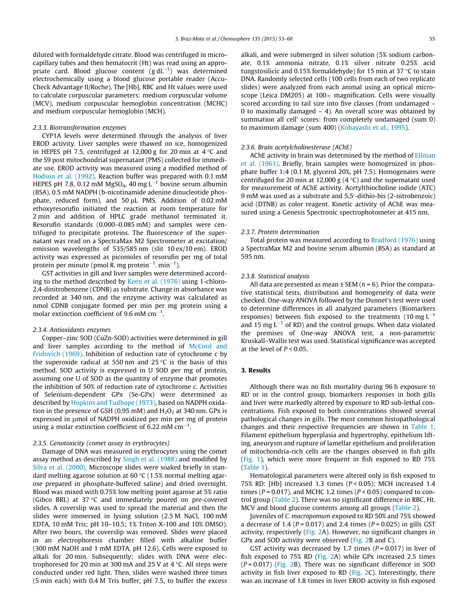diluted with formaldehyde citrate. Blood was centrifuged in microcapillary tubes and then hematocrit (Ht) was read using an appropriate card. Blood glucose content  $(g\,dL^{-1})$  was determined electrochemically using a blood glucose portable reader (Accu-Check Advantage II/Roche). The [Hb], RBC and Ht values were used to calculate corpuscular parameters: medium corpuscular volume (MCV), medium corpuscular hemoglobin concentration (MCHC) and medium corpuscular hemoglobin (MCH).

## 2.3.3. Biotransformation enzymes

CYP1A levels were determined through the analysis of liver EROD activity. Liver samples were thawed on ice, homogenized in HEPES pH 7.5, centrifuged at 12,000 g for 20 min at  $4^{\circ}$ C and the S9 post mitochondrial supernatant (PMS) collected for immediate use. EROD activity was measured using a modified method of Hodson et al. (1992). Reaction buffer was prepared with 0.1 mM HEPES pH 7.8, 0.12 mM MgSO<sub>4</sub>, 40 mg L<sup>-1</sup> bovine serum albumin (BSA), 0.5 mM NADPH (b-nicotinamide adenine dinucleotide phosphate, reduced form), and  $50 \mu$ L PMS. Addition of 0.02 mM ethoxyresorufin initiated the reaction at room temperature for 2 min and addition of HPLC grade methanol terminated it. Resorufin standards (0.000–0.085 mM) and samples were centrifuged to precipitate proteins. The fluorescence of the supernatant was read on a SpectraMax M2 Spectrometer at excitation/ emission wavelengths of 535/585 nm (slit 10 ex/10 em). EROD activity was expressed as picomoles of resorufin per mg of total protein per minute (pmol R. mg protein $^{-1}$ . min $^{-1}$ ).

GST activities in gill and liver samples were determined according to the method described by Keen et al. (1976) using 1-chloro-2,4-dinitrobenzene (CDNB) as substrate. Change in absorbance was recorded at 340 nm, and the enzyme activity was calculated as nmol CDNB conjugate formed per min per mg protein using a molar extinction coefficient of 9.6 mM cm $^{-1}$ .

#### 2.3.4. Antioxidants enzymes

Copper–zinc SOD (CuZn-SOD) activities were determined in gill and liver samples according to the method of McCord and Fridovich (1969). Inhibition of reduction rate of cytochrome c by the superoxide radical at 550 nm and 25  $\degree$ C is the basis of this method. SOD activity is expressed in U SOD per mg of protein, assuming one U of SOD as the quantity of enzyme that promotes the inhibition of 50% of reduction rate of cytochrome c. Activities of Selenium-dependent GPx (Se-GPx) were determined as described by Hopkins and Tudhope (1973), based on NADPH oxidation in the presence of GSH (0.95 mM) and  $H_2O_2$  at 340 nm. GPx is expressed in  $\mu$ mol of NADPH oxidized per min per mg of protein using a molar extinction coefficient of 6.22 mM  $cm^{-1}$ .

## 2.3.5. Genotoxicity (comet assay in erythrocytes)

Damage of DNA was measured in erythrocytes using the comet assay method as described by Singh et al. (1988) and modified by Silva et al. (2000). Microscope slides were soaked briefly in standard melting agarose solution at  $60 °C$  (1.5% normal melting agarose prepared in phosphate-buffered saline) and dried overnight. Blood was mixed with 0.75% low melting point agarose at 5% ratio (Gibco BRL) at 37 $\degree$ C and immediately poured on pre-covered slides. A coverslip was used to spread the material and then the slides were immersed in lysing solution (2.5 M NaCl, 100 mM EDTA, 10 mM Tris; pH 10–10.5; 1% Triton X-100 and 10% DMSO). After two hours, the coverslip was removed. Slides were placed in an electrophoresis chamber filled with alkaline buffer (300 mM NaOH and 1 mM EDTA, pH 12.6). Cells were exposed to alkali for 20 min. Subsequently; slides with DNA were electrophoresed for 20 min at 300 mA and 25 V at 4  $\degree$ C. All steps were conducted under red light. Then, slides were washed three times (5 min each) with 0.4 M Tris buffer, pH 7.5, to buffer the excess alkali, and were submerged in silver solution (5% sodium carbonate, 0.1% ammonia nitrate, 0.1% silver nitrate 0.25% acid tungstosilicic and 0.15% formaldehyde) for 15 min at 37  $\degree$ C to stain DNA. Randomly selected cells (100 cells from each of two replicate slides) were analyzed from each animal using an optical microscope (Leica DM205) at  $100 \times$  magnification. Cells were visually scored according to tail size into five classes (from undamaged – 0 to maximally damaged – 4). An overall score was obtained by summation all cell' scores: from completely undamaged (sum 0) to maximum damage (sum 400) (Kobayashi et al., 1995).

#### 2.3.6. Brain acetylcholinesterase (AChE)

AChE activity in brain was determined by the method of Ellman et al. (1961). Briefly, brain samples were homogenized in phosphate buffer 1:4 (0.1 M, glycerol 20%, pH 7.5). Homogenates were centrifuged for 20 min at 12,000 g (4  $\degree$ C) and the supernatant used for measurement of AChE activity. Acetylthiocholine iodide (ATC) 9 mM was used as a substrate and 5,5'-dithio-bis (2-nitrobenzoic) acid (DTNB) as color reagent. Kinetic activity of AChE was measured using a Genesis Spectronic spectrophotometer at 415 nm.

#### 2.3.7. Protein determination

Total protein was measured according to Bradford (1976) using a SpectraMax M2 and bovine serum albumin (BSA) as standard at 595 nm.

#### 2.3.8. Statistical analysis

All data are presented as mean  $\pm$  SEM ( $n = 6$ ). Prior the comparative statistical tests, distribution and homogeneity of data were checked. One-way ANOVA followed by the Dunnet's test were used to determine differences in all analyzed parameters (Biomarkers responses) between fish exposed to the treatments  $(10 \text{ mg L}^{-1})$ and 15 mg  $L^{-1}$  of RD) and the control groups. When data violated the premises of One-way ANOVA test, a non-parametric Kruskall–Wallis test was used. Statistical significance was accepted at the level of  $P < 0.05$ .

## 3. Results

Although there was no fish mortality during 96 h exposure to RD or in the control group, biomarkers responses in both gills and liver were markedly altered by exposure to RD sub-lethal concentrations. Fish exposed to both concentrations showed several pathological changes in gills. The most common histopathological changes and their respective frequencies are shown in Table 1. Filament epithelium hyperplasia and hypertrophy, epithelium lifting, aneurysm and rupture of lamellar epithelium and proliferation of mitochondria-rich cells are the changes observed in fish gills (Fig. 1), which were more frequent in fish exposed to RD 75% (Table 1).

Hematological parameters were altered only in fish exposed to 75% RD: [Hb] increased 1.3 times (P < 0.05); MCH increased 1.4 times ( $P = 0.017$ ), and MCHC 1.2 times ( $P < 0.05$ ) compared to control group (Table 2). There was no significant difference in RBC, Ht, MCV and blood glucose contents among all groups (Table 2).

Juveniles of C. macropomum exposed to RD 50% and 75% showed a decrease of 1.4 ( $P = 0.017$ ) and 2.4 times ( $P = 0.025$ ) in gills GST activity, respectively (Fig. 2A). However, no significant changes in GPx and SOD activity were observed (Fig. 2B and C).

GST activity was decreased by 1.7 times ( $P = 0.017$ ) in liver of fish exposed to 75% RD (Fig. 2A) while GPx increased 2.5 times  $(P = 0.017)$  (Fig. 2B). There was no significant difference in SOD activity in fish liver exposed to RD (Fig. 2C). Interestingly, there was an increase of 1.8 times in liver EROD activity in fish exposed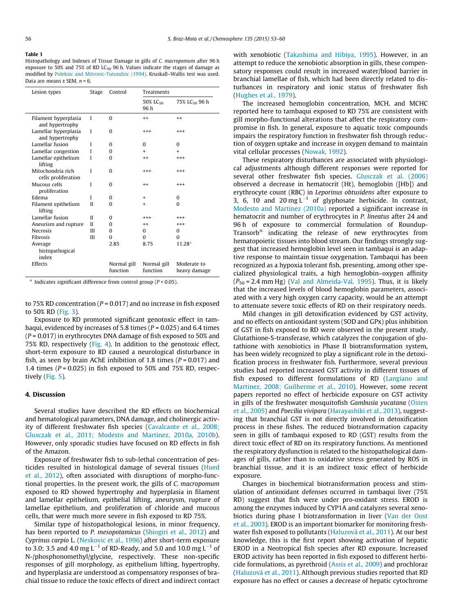#### Table 1

Histopathology and Indexes of Tissue Damage in gills of C. macropomum after 96 h exposure to 50% and 75% of RD LC $_{50}$  96 h. Values indicate the stages of damage as modified by Poleksic and Mitrovic-Tutundzic (1994). Kruskall–Wallis test was used. Data are means  $\pm$  SEM,  $n = 6$ .

| Lesion types                             | Stage        | Control                 | Treatments              |                             |
|------------------------------------------|--------------|-------------------------|-------------------------|-----------------------------|
|                                          |              |                         | 50% $LC_{50}$<br>96 h   | 75% LC <sub>50</sub> 96 h   |
| Filament hyperplasia<br>and hypertrophy  | I            | $\Omega$                | $^{++}$                 | $^{++}$                     |
| Lamellar hyperplasia<br>and hypertrophy  | L            | $\Omega$                | $^{+++}$                | $^{+++}$                    |
| Lamellar fusion                          | L            | $\Omega$                | $\Omega$                | $\Omega$                    |
| Lamellar congestion                      | L            | $\Omega$                | +                       | $\ddot{}$                   |
| Lamellar epithelium<br>lifting           | I            | $\Omega$                | $^{++}$                 | $^{+++}$                    |
| Mitochondria rich<br>cells proliferation | I            | $\Omega$                | $^{+++}$                | $^{+++}$                    |
| Mucous cells<br>proliferation            | I            | $\Omega$                | $^{++}$                 | $^{+++}$                    |
| Edema                                    | L            | $\Omega$                | $\ddot{}$               | $\Omega$                    |
| Filament epithelium<br>lifting           | $\mathbf{I}$ | $\Omega$                | $+$                     | $\Omega$                    |
| Lamellar fusion                          | $_{II}$      | $\Omega$                | $^{+++}$                | $^{+++}$                    |
| Aneurism and rupture                     | Н            | $\Omega$                | $^{++}$                 | $^{++}$                     |
| <b>Necrosis</b>                          | Ш            | $\Omega$                | $\Omega$                | $\Omega$                    |
| Fibrosis                                 | Ш            | $\Omega$                | $\Omega$                | $\Omega$                    |
| Average<br>histopathogical<br>index      |              | 2.85                    | 8.75                    | 11.28 <sup>a</sup>          |
| Effects                                  |              | Normal gill<br>function | Normal gill<br>function | Moderate to<br>heavy damage |

<sup>a</sup> Indicates significant difference from control group ( $P < 0.05$ ).

to 75% RD concentration ( $P = 0.017$ ) and no increase in fish exposed to 50% RD (Fig. 3).

Exposure to RD promoted significant genotoxic effect in tambaqui, evidenced by increases of 5.8 times ( $P = 0.025$ ) and 6.4 times  $(P = 0.017)$  in erythrocytes DNA damage of fish exposed to 50% and 75% RD, respectively (Fig. 4). In addition to the genotoxic effect, short-term exposure to RD caused a neurological disturbance in fish, as seen by brain AChE inhibition of 1.8 times ( $P = 0.017$ ) and 1.4 times ( $P = 0.025$ ) in fish exposed to 50% and 75% RD, respectively (Fig. 5).

## 4. Discussion

Several studies have described the RD effects on biochemical and hematological parameters, DNA damage, and cholinergic activity of different freshwater fish species (Cavalcante et al., 2008; Glusczak et al., 2011; Modesto and Martinez, 2010a, 2010b). However, only sporadic studies have focused on RD effects in fish of the Amazon.

Exposure of freshwater fish to sub-lethal concentration of pesticides resulted in histological damage of several tissues (Hued et al., 2012), often associated with disruptions of morpho-functional properties. In the present work, the gills of C. macropomum exposed to RD showed hypertrophy and hyperplasia in filament and lamellar epithelium, epithelial lifting, aneurysm, rupture of lamellae epithelium, and proliferation of chloride and mucous cells, that were much more severe in fish exposed to RD 75%.

Similar type of histopathological lesions, in minor frequency, has been reported to P. mesopotamicus (Shiogiri et al., 2012) and Cyprinus carpio L. (Neskovic et al., 1996) after short-term exposure to 3.0; 3.5 and 4.0 mg L<sup>-1</sup> of RD-Ready, and 5.0 and 10.0 mg L<sup>-1</sup> of N-/phosphonomethyl/glycine, respectively. These non-specific responses of gill morphology, as epithelium lifting, hypertrophy, and hyperplasia are understood as compensatory responses of brachial tissue to reduce the toxic effects of direct and indirect contact with xenobiotic (Takashima and Hibiya, 1995). However, in an attempt to reduce the xenobiotic absorption in gills, these compensatory responses could result in increased water/blood barrier in branchial lamellae of fish, which had been directly related to disturbances in respiratory and ionic status of freshwater fish (Hughes et al., 1979).

The increased hemoglobin concentration, MCH, and MCHC reported here to tambaqui exposed to RD 75% are consistent with gill morpho-functional alterations that affect the respiratory compromise in fish. In general, exposure to aquatic toxic compounds impairs the respiratory function in freshwater fish through reduction of oxygen uptake and increase in oxygen demand to maintain vital cellular processes (Nowak, 1992).

These respiratory disturbances are associated with physiological adjustments although different responses were reported for several other freshwater fish species. Glusczak et al. (2006) observed a decrease in hematocrit (Ht), hemoglobin ([Hb]) and erythrocyte count (RBC) in Leporinus obtusidens after exposure to 3, 6, 10 and 20 mg  $L^{-1}$  of glyphosate herbicide. In contrast, Modesto and Martinez (2010a) reported a significant increase in hematocrit and number of erythrocytes in P. lineatus after 24 and 96 h of exposure to commercial formulation of Roundup-Transorb® indicating the release of new erythrocytes from hematopoietic tissues into blood stream. Our findings strongly suggest that increased hemoglobin level seen in tambaqui is an adaptive response to maintain tissue oxygenation. Tambaqui has been recognized as a hypoxia tolerant fish, presenting, among other specialized physiological traits, a high hemoglobin–oxygen affinity  $(P_{50} = 2.4$  mm Hg) (Val and Almeida-Val, 1995). Thus, it is likely that the increased levels of blood hemoglobin parameters, associated with a very high oxygen carry capacity, would be an attempt to attenuate severe toxic effects of RD on their respiratory needs.

Mild changes in gill detoxification evidenced by GST activity, and no effects on antioxidant system (SOD and GPx) plus inhibition of GST in fish exposed to RD were observed in the present study. Glutathione-S-transferase, which catalyzes the conjugation of glutathione with xenobiotics in Phase II biotransformation system, has been widely recognized to play a significant role in the detoxification process in freshwater fish. Furthermore, several previous studies had reported increased GST activity in different tissues of fish exposed to different formulations of RD (Langiano and Martinez, 2008; Guilherme et al., 2010). However, some recent papers reported no effect of herbicide exposure on GST activity in gills of the freshwater mosquitofish Gambusia yucatana (Osten et al., 2005) and Poecilia vivipara (Harayashiki et al., 2013), suggesting that branchial GST is not directly involved in detoxification process in these fishes. The reduced biotransformation capacity seen in gills of tambaqui exposed to RD (GST) results from the direct toxic effect of RD on its respiratory functions. As mentioned the respiratory dysfunction is related to the histopathological damages of gills, rather than to oxidative stress generated by ROS in branchial tissue, and it is an indirect toxic effect of herbicide exposure.

Changes in biochemical biotransformation process and stimulation of antioxidant defenses occurred in tambaqui liver (75% RD) suggest that fish were under pro-oxidant stress. EROD is among the enzymes induced by CYP1A and catalyzes several xenobiotics during phase I biotransformation in liver (Van der Oost et al., 2003). EROD is an important biomarker for monitoring freshwater fish exposed to pollutants (Haluzová et al., 2011). At our best knowledge, this is the first report showing activation of hepatic EROD in a Neotropical fish species after RD exposure. Increased EROD activity has been reported in fish exposed to different herbicide formulations, as pyrethroid (Assis et al., 2009) and prochloraz (Haluzová et al., 2011). Although previous studies reported that RD exposure has no effect or causes a decrease of hepatic cytochrome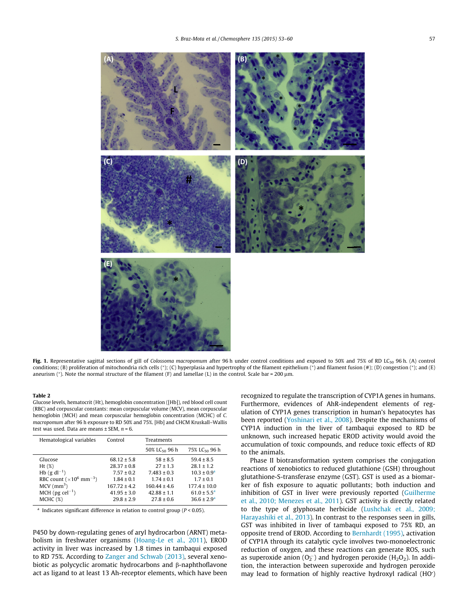

Fig. 1. Representative sagittal sections of gill of Colossoma macropomum after 96 h under control conditions and exposed to 50% and 75% of RD LC<sub>50</sub> 96 h. (A) control conditions; (B) proliferation of mitochondria rich cells (\*); (C) hyperplasia and hypertrophy of the filament epithelium (\*) and filament fusion (#); (D) congestion (\*); and (E) aneurism (\*). Note the normal structure of the filament (F) and lamellae (L) in the control. Scale bar = 200 µm.

#### Table 2

Glucose levels, hematocrit (Ht), hemoglobin concentration ([Hb]), red blood cell count (RBC) and corpuscular constants: mean corpuscular volume (MCV), mean corpuscular hemoglobin (MCH) and mean corpuscular hemoglobin concentration (MCHC) of C. macropomum after 96 h exposure to RD 50% and 75%. [Hb] and CHCM Kruskall–Wallis test was used. Data are means  $\pm$  SEM,  $n = 6$ .

| Hematological variables                     | Control          | Treatments                |                           |
|---------------------------------------------|------------------|---------------------------|---------------------------|
|                                             |                  | 50% LC <sub>50</sub> 96 h | 75% LC <sub>50</sub> 96 h |
| Glucose                                     | $68.12 \pm 5.8$  | $58 \pm 8.5$              | $59.4 \pm 8.5$            |
| Ht $(\%)$                                   | $28.37 \pm 0.8$  | $27 \pm 1.3$              | $28.1 \pm 1.2$            |
| Hb $(g \, dl^{-1})$                         | $7.57 \pm 0.2$   | $7.483 \pm 0.3$           | $10.3 \pm 0.9^a$          |
| RBC count $(\times 10^6$ mm <sup>-3</sup> ) | $1.84 \pm 0.1$   | $1.74 \pm 0.1$            | $1.7 \pm 0.1$             |
| $MCV$ (mm <sup>3</sup> )                    | $167.72 \pm 4.2$ | $160.44 \pm 4.6$          | $177.4 \pm 10.0$          |
| $MCH$ (pg cel <sup>-1</sup> )               | $41.95 \pm 3.0$  | $42.88 \pm 1.1$           | $61.0 \pm 5.5^{\circ}$    |
| MCHC (%)                                    | $29.8 \pm 2.9$   | $27.8 \pm 0.6$            | $36.6 \pm 2.9^a$          |

<sup>a</sup> Indicates significant difference in relation to control group ( $P < 0.05$ ).

P450 by down-regulating genes of aryl hydrocarbon (ARNT) metabolism in freshwater organisms (Hoang-Le et al., 2011), EROD activity in liver was increased by 1.8 times in tambaqui exposed to RD 75%. According to Zanger and Schwab (2013), several xenobiotic as polycyclic aromatic hydrocarbons and  $\beta$ -naphthoflavone act as ligand to at least 13 Ah-receptor elements, which have been recognized to regulate the transcription of CYP1A genes in humans. Furthermore, evidences of AhR-independent elements of regulation of CYP1A genes transcription in human's hepatocytes has been reported (Yoshinari et al., 2008). Despite the mechanisms of CYP1A induction in the liver of tambaqui exposed to RD be unknown, such increased hepatic EROD activity would avoid the accumulation of toxic compounds, and reduce toxic effects of RD to the animals.

Phase II biotransformation system comprises the conjugation reactions of xenobiotics to reduced glutathione (GSH) throughout glutathione-S-transferase enzyme (GST). GST is used as a biomarker of fish exposure to aquatic pollutants; both induction and inhibition of GST in liver were previously reported (Guilherme et al., 2010; Menezes et al., 2011). GST activity is directly related to the type of glyphosate herbicide (Lushchak et al., 2009; Harayashiki et al., 2013). In contrast to the responses seen in gills, GST was inhibited in liver of tambaqui exposed to 75% RD, an opposite trend of EROD. According to Bernhardt (1995), activation of CYP1A through its catalytic cycle involves two-monoelectronic reduction of oxygen, and these reactions can generate ROS, such as superoxide anion  $(O_2^-)$  and hydrogen peroxide ( $H_2O_2$ ). In addition, the interaction between superoxide and hydrogen peroxide may lead to formation of highly reactive hydroxyl radical (HO)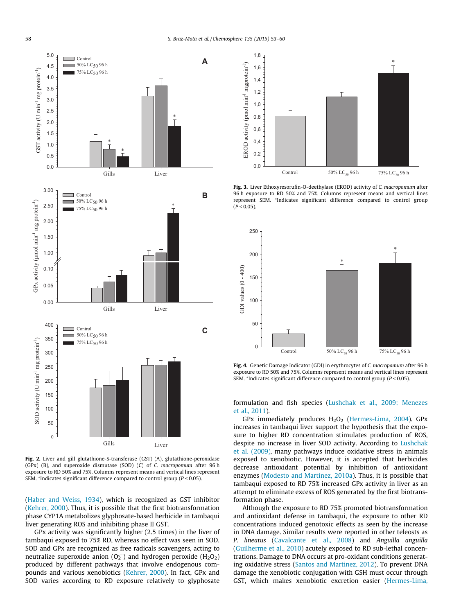

Fig. 2. Liver and gill glutathione-S-transferase (GST) (A), glutathione-peroxidase (GPx) (B), and superoxide dismutase (SOD) (C) of C. macropomum after 96 h exposure to RD 50% and 75%. Columns represent means and vertical lines represent SEM.  $*$ Indicates significant difference compared to control group ( $P < 0.05$ ).

(Haber and Weiss, 1934), which is recognized as GST inhibitor (Kehrer, 2000). Thus, it is possible that the first biotransformation phase CYP1A metabolizes glyphosate-based herbicide in tambaqui liver generating ROS and inhibiting phase II GST.

GPx activity was significantly higher (2.5 times) in the liver of tambaqui exposed to 75% RD, whereas no effect was seen in SOD. SOD and GPx are recognized as free radicals scavengers, acting to neutralize superoxide anion (O<sub>2</sub><sup>-</sup>) and hydrogen peroxide (H<sub>2</sub>O<sub>2</sub>) produced by different pathways that involve endogenous compounds and various xenobiotics (Kehrer, 2000). In fact, GPx and SOD varies according to RD exposure relatively to glyphosate



Fig. 3. Liver Ethoxyresorufin-O-deethylase (EROD) activity of C. macropomum after 96 h exposure to RD 50% and 75%. Columns represent means and vertical lines represent SEM. \*Indicates significant difference compared to control group  $(P < 0.05)$ .



Fig. 4. Genetic Damage Indicator (GDI) in erythrocytes of C. macropomum after 96 h exposure to RD 50% and 75%. Columns represent means and vertical lines represent SEM. \*Indicates significant difference compared to control group ( $P < 0.05$ ).

formulation and fish species (Lushchak et al., 2009; Menezes et al., 2011).

GPx immediately produces  $H_2O_2$  (Hermes-Lima, 2004). GPx increases in tambaqui liver support the hypothesis that the exposure to higher RD concentration stimulates production of ROS, despite no increase in liver SOD activity. According to Lushchak et al. (2009), many pathways induce oxidative stress in animals exposed to xenobiotic. However, it is accepted that herbicides decrease antioxidant potential by inhibition of antioxidant enzymes (Modesto and Martinez, 2010a). Thus, it is possible that tambaqui exposed to RD 75% increased GPx activity in liver as an attempt to eliminate excess of ROS generated by the first biotransformation phase.

Although the exposure to RD 75% promoted biotransformation and antioxidant defense in tambaqui, the exposure to other RD concentrations induced genotoxic effects as seen by the increase in DNA damage. Similar results were reported in other teleosts as P. lineatus (Cavalcante et al., 2008) and Anguilla anguilla (Guilherme et al., 2010) acutely exposed to RD sub-lethal concentrations. Damage to DNA occurs at pro-oxidant conditions generating oxidative stress (Santos and Martinez, 2012). To prevent DNA damage the xenobiotic conjugation with GSH must occur through GST, which makes xenobiotic excretion easier (Hermes-Lima,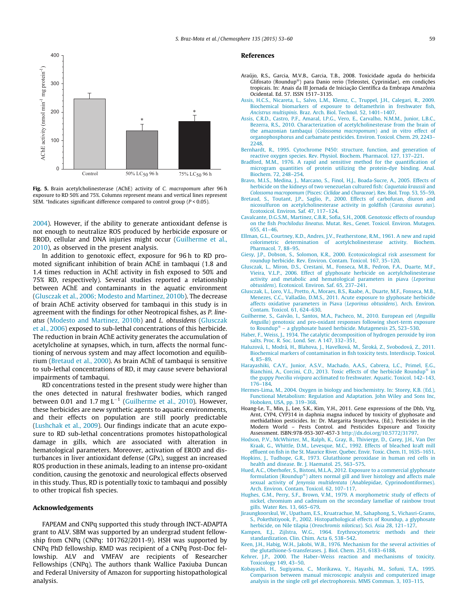

Fig. 5. Brain acetylcholinesterase (AChE) activity of C. macropomum after 96 h exposure to RD 50% and 75%. Columns represent means and vertical lines represent SEM. \*Indicates significant difference compared to control group (P < 0.05).

2004). However, if the ability to generate antioxidant defense is not enough to neutralize ROS produced by herbicide exposure or EROD, cellular and DNA injuries might occur (Guilherme et al., 2010), as observed in the present analysis.

In addition to genotoxic effect, exposure for 96 h to RD promoted significant inhibition of brain AChE in tambaqui (1.8 and 1.4 times reduction in AChE activity in fish exposed to 50% and 75% RD, respectively). Several studies reported a relationship between AChE and contaminants in the aquatic environment (Glusczak et al., 2006; Modesto and Martinez, 2010b). The decrease of brain AChE activity observed for tambaqui in this study is in agreement with the findings for other Neotropical fishes, as P. lineatus (Modesto and Martinez, 2010b) and L. obtusidens (Glusczak et al., 2006) exposed to sub-lethal concentrations of this herbicide. The reduction in brain AChE activity generates the accumulation of acetylcholine at synapses, which, in turn, affects the normal functioning of nervous system and may affect locomotion and equilibrium (Bretaud et al., 2000). As brain AChE of tambaqui is sensitive to sub-lethal concentrations of RD, it may cause severe behavioral impairments of tambaqui.

RD concentrations tested in the present study were higher than the ones detected in natural freshwater bodies, which ranged between 0.01 and 1.7 mg  $L^{-1}$  (Guilherme et al., 2010). However, these herbicides are new synthetic agents to aquatic environments, and their effects on population are still poorly predictable (Lushchak et al., 2009). Our findings indicate that an acute exposure to RD sub-lethal concentrations promotes histopathological damage in gills, which are associated with alteration in hematological parameters. Moreover, activation of EROD and disturbances in liver antioxidant defense (GPx), suggest an increased ROS production in these animals, leading to an intense pro-oxidant condition, causing the genotoxic and neurological effects observed in this study. Thus, RD is potentially toxic to tambaqui and possibly to other tropical fish species.

#### Acknowledgements

FAPEAM and CNPq supported this study through INCT-ADAPTA grant to ALV. SBM was supported by an undergrad student fellowship from CNPq (CNPq: 101762/2011-9). HSH was supported by CNPq PhD fellowship. RMD was recipient of a CNPq Post-Doc fellowship. ALV and VMFAV are recipients of Researcher Fellowships (CNPq). The authors thank Wallice Paxiuba Duncan and Federal University of Amazon for supporting histopathological analysis.

#### References

- Araújo, R.S., Garcia, M.V.B., Garcia, T.B., 2008. Toxicidade aguda do herbicida Glifosato (Roundup®) para Danio rerio (Teleostei, Cyprinidae), em condições tropicais. In: Anais da III Jornada de Iniciação Científica da Embrapa Amazônia Ocidental. Ed. 57. ISSN 1517–3135.
- Assis, H.C.S., Nicareta, L., Salvo, L.M., Klemz, C., Truppel, J.H., Calegari, R., 2009. Biochemical biomarkers of exposure to deltamethrin in freshwater fish, Ancistrus multispinis. Braz. Arch. Biol. Technol. 52, 1401–1407.
- Assis, C.R.D., Castro, P.F., Amaral, I.P.G., Vero, E., Carvalho, N.M.M., Junior, L.B.C., Bezerra, R.S., 2010. Characterization of acetylcholinesterase from the brain of the amazonian tambaqui (Colossoma macropomum) and in vitro effect of organophosphorus and carbamate pesticides. Environ. Toxicol. Chem. 29, 2243– 2248.
- Bernhardt, R., 1995. Cytochrome P450: structure, function, and generation of reactive oxygen species. Rev. Physiol. Biochem. Pharmacol. 127, 137–221.
- Bradford, M.M., 1976. A rapid and sensitive method for the quantification of microgram quantities of protein utilizing the protein-dye binding. Anal. Biochem. 72, 248–254.
- Bravo, M.I.S., Medina, J., Marcano, S., Finol, H.J., Boada-Sucre, A., 2005. Effects of herbicide on the kidneys of two venezuelan cultured fish: Caquetaia kraussii and Colossoma macropomum (Pisces: Ciclidae and Characeae). Rev. Biol. Trop. 53, 55–59.
- Bretaud, S., Toutant, J.P., Saglio, P., 2000. Effects of carbofuran, diuron and nicosulfuron on acetylcholinesterase activity in goldfish (Carassius auratus). Ecotoxicol. Environ. Saf. 47, 117–124.
- Cavalcante, D.G.S.M., Martinez, C.B.R., Sofia, S.H., 2008. Genotoxic effects of roundup on the fish Prochilodus lineatus. Mutat. Res., Genet. Toxicol. Environ. Mutagen. 655, 41–46.
- Ellman, G.L., Courtney, K.D., Andres, J.V., Featherstone, R.M., 1961. A new and rapid colorimetric determination of acetylcholinesterase activity. Biochem. Pharmacol. 7, 88–95.
- Giesy, J.P., Dobson, S., Solomon, K.R., 2000. Ecotoxicological risk assessment for roundup herbicide. Rev. Environ. Contam. Toxicol. 167, 35–120.
- Glusczak, L., Miron, D.S., Crestani, M., Fonseca, M.B., Pedron, F.A., Duarte, M.F., Vieira, V.L.P., 2006. Effect of glyphosate herbicide on acetylcholinesterase activity and metabolic and hematological parameters in piava (Leporinus obtusidens). Ecotoxicol. Environ. Saf. 65, 237–241.
- Glusczak, L., Loro, V.L., Pretto, A., Moraes, B.S., Raabe, A., Duarte, M.F., Fonseca, M.B., Menezes, C.C., Valladão, D.M.S., 2011. Acute exposure to glyphosate herbicide affects oxidative parameters in Piava (Leporinus obtusidens). Arch. Environ. Contam. Toxicol. 61, 624–630.
- Guilherme, S., Gaivão, I., Santos, M.A., Pacheco, M., 2010. European eel (Anguilla Anguilla) genotoxic and pro-oxidant responses following short-term exposure to Roundup<sup>®</sup> - a glyphosate based herbicide. Mutagenesis 25, 523-530.
- Haber, F., Weiss, J., 1934. The catalytic decomposition of hydrogen peroxide by iron salts. Proc. R. Soc. Lond. Ser. A 147, 332–351.
- Haluzová, I., Modrá, H., Blahova, J., Havelková, M., Široká, Z., Svobodová, Z., 2011. Biochemical markers of contamination in fish toxicity tests. Interdiscip. Toxicol. 4, 85–89.
- Harayashiki, C.A.Y., Junior, A.S.V., Machado, A.A.S., Cabrera, L.C., Primel, E.G., Bianchini, A., Corcini, C.D., 2013. Toxic effects of the herbicide Roundup<sup>®</sup> in the guppy Poecilia vivipara acclimated to freshwater. Aquatic. Toxicol. 142–143, 176–184.
- Hermes-Lima, M., 2004. Oxygen in biology and biochemistry. In: Storey, K.B. (Ed.), Functional Metabolism: Regulation and Adaptation. John Wiley and Sons Inc, Hoboken, USA, pp. 319–368.
- Hoang-Le, T., Min, J., Lee, S.K., Kim, Y.H., 2011. Gene expressions of the Dhb, Vtg, Arnt, CYP4, CYP314 in daphnia magna induced by toxicity of glyphosate and methidathion pesticides. In: Dr. Margarita Stoytcheva, (Ed.). Pesticides in the Modern World – Pests Control. and Pesticides Exposure and Toxicity Assessment. ISBN:978-953-307-457-3 http://dx.doi.org/10.5772/31797.
- Hodson, P.V., McWhirter, M., Ralph, K., Gray, B., Thivierge, D., Carey, J.H., Van Der Kraak, G., Whittle, D.M., Levesque, M.C., 1992. Effects of bleached kraft mill effluent on fish in the St. Maurice River. Quebec. Envir. Toxic. Chem. I1, 1635–1651.
- Hopkins, J., Tudhope, G.R., 1973. Glutathione peroxidase in human red cells in health and disease. Br. J. Haematol. 25, 563–575.
- Hued, A.C., Oberhofer, S., Bistoni, M.L.A., 2012. Exposure to a commercial glyphosate formulation (Roundup®) alters normal gill and liver histology and affects male sexual activity of Jenynsia multidentata (Anablepidae, Cyprinodontiformes). Arch. Environ. Contam. Toxicol. 62, 107–117.
- Hughes, G.M., Perry, S.F., Brown, V.M., 1979. A morphometric study of effects of nickel, chromium and cadmium on the secondary lamellae of rainbow trout gills. Water Res. 13, 665–679.
- Jiraungkoorskul, W., Upatham, E.S., Kruatrachue, M., Sahaphong, S., Vichasri-Grams, S., Pokethitiyook, P., 2002. Histopathological effects of Roundup, a glyphosate herbicide, on Nile tilapia (Oreochromis niloticus). Sci. Asia 28, 121–127.
- Kampen, E.J., Zijlstra, W.G., 1964. Erythrocytometric methods and their standardization. Clin. Chim. Acta 6, 538–542.
- Keen, J.H., Habig, W.H., Jakobi, W.B., 1976. Mechanism for the several activities of the glutathione-S-transferases. J. Biol. Chem. 251, 6183–6188.
- Kehrer, J.P., 2000. The Haber–Weiss reaction and mechanisms of toxicity. Toxicology 149, 43–50.
- Kobayashi, H., Sugiyama, C., Morikawa, Y., Hayashi, M., Sofuni, T.A., 1995. Comparison between manual microscopic analysis and computerized image analysis in the single cell gel electrophoresis. MMS Commun. 3, 103–115.